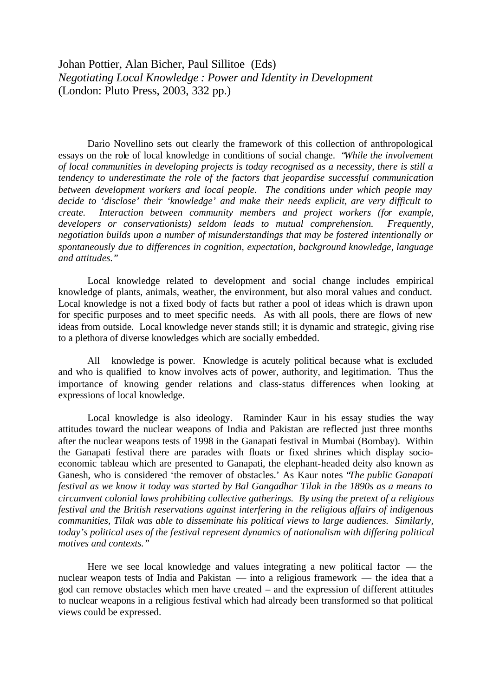Johan Pottier, Alan Bicher, Paul Sillitoe (Eds) *Negotiating Local Knowledge : Power and Identity in Development* (London: Pluto Press, 2003, 332 pp.)

Dario Novellino sets out clearly the framework of this collection of anthropological essays on the role of local knowledge in conditions of social change. *'While the involvement of local communities in developing projects is today recognised as a necessity, there is still a tendency to underestimate the role of the factors that jeopardise successful communication between development workers and local people. The conditions under which people may decide to 'disclose' their 'knowledge' and make their needs explicit, are very difficult to create. Interaction between community members and project workers (for example, developers or conservationists) seldom leads to mutual comprehension. Frequently, negotiation builds upon a number of misunderstandings that may be fostered intentionally or spontaneously due to differences in cognition, expectation, background knowledge, language and attitudes."*

Local knowledge related to development and social change includes empirical knowledge of plants, animals, weather, the environment, but also moral values and conduct. Local knowledge is not a fixed body of facts but rather a pool of ideas which is drawn upon for specific purposes and to meet specific needs. As with all pools, there are flows of new ideas from outside. Local knowledge never stands still; it is dynamic and strategic, giving rise to a plethora of diverse knowledges which are socially embedded.

All knowledge is power. Knowledge is acutely political because what is excluded and who is qualified to know involves acts of power, authority, and legitimation. Thus the importance of knowing gender relations and class-status differences when looking at expressions of local knowledge.

Local knowledge is also ideology. Raminder Kaur in his essay studies the way attitudes toward the nuclear weapons of India and Pakistan are reflected just three months after the nuclear weapons tests of 1998 in the Ganapati festival in Mumbai (Bombay). Within the Ganapati festival there are parades with floats or fixed shrines which display socioeconomic tableau which are presented to Ganapati, the elephant-headed deity also known as Ganesh, who is considered 'the remover of obstacles.' As Kaur notes "*The public Ganapati festival as we know it today was started by Bal Gangadhar Tilak in the 1890s as a means to circumvent colonial laws prohibiting collective gatherings. By using the pretext of a religious festival and the British reservations against interfering in the religious affairs of indigenous communities, Tilak was able to disseminate his political views to large audiences. Similarly, today's political uses of the festival represent dynamics of nationalism with differing political motives and contexts."*

Here we see local knowledge and values integrating a new political factor — the nuclear weapon tests of India and Pakistan — into a religious framework — the idea that a god can remove obstacles which men have created – and the expression of different attitudes to nuclear weapons in a religious festival which had already been transformed so that political views could be expressed.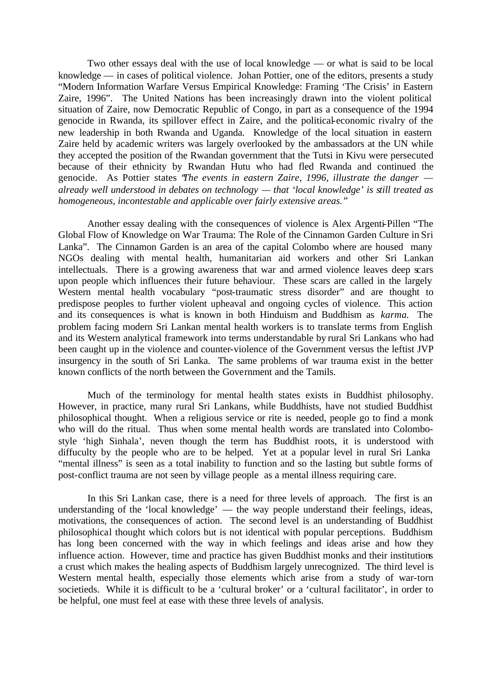Two other essays deal with the use of local knowledge — or what is said to be local knowledge — in cases of political violence. Johan Pottier, one of the editors, presents a study "Modern Information Warfare Versus Empirical Knowledge: Framing 'The Crisis' in Eastern Zaire, 1996". The United Nations has been increasingly drawn into the violent political situation of Zaire, now Democratic Republic of Congo, in part as a consequence of the 1994 genocide in Rwanda, its spillover effect in Zaire, and the political-economic rivalry of the new leadership in both Rwanda and Uganda. Knowledge of the local situation in eastern Zaire held by academic writers was largely overlooked by the ambassadors at the UN while they accepted the position of the Rwandan government that the Tutsi in Kivu were persecuted because of their ethnicity by Rwandan Hutu who had fled Rwanda and continued the genocide. As Pottier states "*The events in eastern Zaire, 1996, illustrate the danger already well understood in debates on technology — that 'local knowledge' is still treated as homogeneous, incontestable and applicable over fairly extensive areas."*

Another essay dealing with the consequences of violence is Alex Argenti-Pillen "The Global Flow of Knowledge on War Trauma: The Role of the Cinnamon Garden Culture in Sri Lanka". The Cinnamon Garden is an area of the capital Colombo where are housed many NGOs dealing with mental health, humanitarian aid workers and other Sri Lankan intellectuals. There is a growing awareness that war and armed violence leaves deep scars upon people which influences their future behaviour. These scars are called in the largely Western mental health vocabulary "post-traumatic stress disorder" and are thought to predispose peoples to further violent upheaval and ongoing cycles of violence. This action and its consequences is what is known in both Hinduism and Buddhism as *karma.* The problem facing modern Sri Lankan mental health workers is to translate terms from English and its Western analytical framework into terms understandable by rural Sri Lankans who had been caught up in the violence and counter-violence of the Government versus the leftist JVP insurgency in the south of Sri Lanka. The same problems of war trauma exist in the better known conflicts of the north between the Government and the Tamils.

Much of the terminology for mental health states exists in Buddhist philosophy. However, in practice, many rural Sri Lankans, while Buddhists, have not studied Buddhist philosophical thought. When a religious service or rite is needed, people go to find a monk who will do the ritual. Thus when some mental health words are translated into Colombostyle 'high Sinhala', neven though the term has Buddhist roots, it is understood with diffuculty by the people who are to be helped. Yet at a popular level in rural Sri Lanka "mental illness" is seen as a total inability to function and so the lasting but subtle forms of post-conflict trauma are not seen by village people as a mental illness requiring care.

In this Sri Lankan case, there is a need for three levels of approach. The first is an understanding of the 'local knowledge' — the way people understand their feelings, ideas, motivations, the consequences of action. The second level is an understanding of Buddhist philosophical thought which colors but is not identical with popular perceptions. Buddhism has long been concerned with the way in which feelings and ideas arise and how they influence action. However, time and practice has given Buddhist monks and their institutions a crust which makes the healing aspects of Buddhism largely unrecognized. The third level is Western mental health, especially those elements which arise from a study of war-torn societieds. While it is difficult to be a 'cultural broker' or a 'cultural facilitator', in order to be helpful, one must feel at ease with these three levels of analysis.